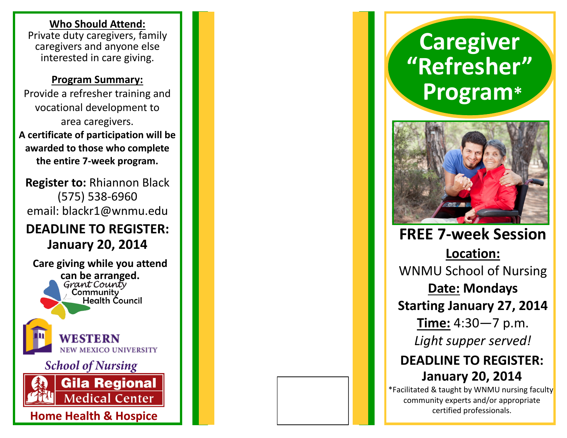#### **Who Should Attend:**

Private duty caregivers, family caregivers and anyone else interested in care giving.

#### **Program Summary:**

Provide a refresher training and vocational development to area caregivers. **A certificate of participation will be awarded to those who complete the entire 7 -week program.**

**Register to:** Rhiannon Black (575) 538 -6960 email: blackr1@wnmu.edu

# **DEADLINE TO REGISTER: January 20, 2014**

**Care giving while you attend can be arranged.**  Community **Health Council** EW MEXICO UNIVERSITY **School of Nursing Gila Regional Medical Center** 

**Home Health & Hospice No. 1996. The Contract of the USA Contract of the Manual Securities of the Contract of the Contract of the Contract of the Contract of the Contract of the Contract of the Contract of the Contract o** 

# **Caregiver "Refresher" Program \***



**FREE 7 -week Session Location:**  WNMU School of Nursing **Date: Mondays Starting January 27, 2014 Time:** 4:30 —7 p.m. *Light supper served!* **DEADLINE TO REGISTER: January 20, 2014**

\*Facilitated & taught by WNMU nursing faculty, community experts and/or appropriate